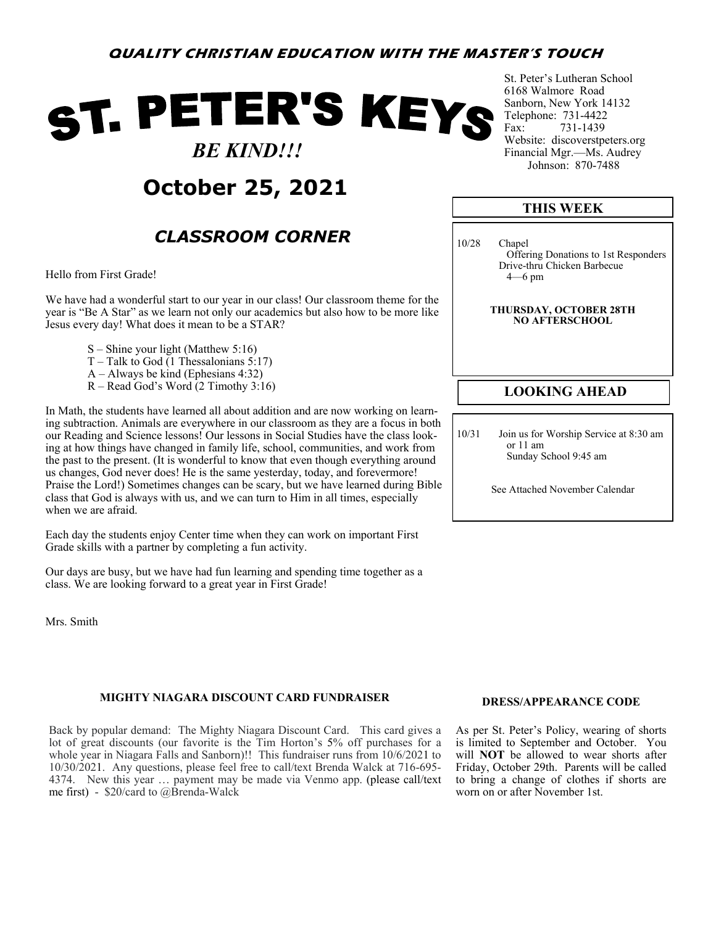### **QUALITY CHRISTIAN EDUCATION WITH THE MASTER'S TOUCH**

# ST. PETER'S KEYS  *BE KIND!!!*



## *CLASSROOM CORNER*

Hello from First Grade!

We have had a wonderful start to our year in our class! Our classroom theme for the year is "Be A Star" as we learn not only our academics but also how to be more like Jesus every day! What does it mean to be a STAR?

- S Shine your light (Matthew 5:16)
- $T -$  Talk to God (1 Thessalonians 5:17)
- A Always be kind (Ephesians 4:32)
- R Read God's Word (2 Timothy 3:16)

In Math, the students have learned all about addition and are now working on learning subtraction. Animals are everywhere in our classroom as they are a focus in both our Reading and Science lessons! Our lessons in Social Studies have the class looking at how things have changed in family life, school, communities, and work from the past to the present. (It is wonderful to know that even though everything around us changes, God never does! He is the same yesterday, today, and forevermore! Praise the Lord!) Sometimes changes can be scary, but we have learned during Bible class that God is always with us, and we can turn to Him in all times, especially when we are afraid.

Each day the students enjoy Center time when they can work on important First Grade skills with a partner by completing a fun activity.

Our days are busy, but we have had fun learning and spending time together as a class. We are looking forward to a great year in First Grade!

Mrs. Smith

#### **MIGHTY NIAGARA DISCOUNT CARD FUNDRAISER**

Back by popular demand: The Mighty Niagara Discount Card. This card gives a lot of great discounts (our favorite is the Tim Horton's 5% off purchases for a whole year in Niagara Falls and Sanborn)!! This fundraiser runs from 10/6/2021 to 10/30/2021. Any questions, please feel free to call/text Brenda Walck at 716-695- 4374. New this year … payment may be made via Venmo app. (please call/text me first) - \$20/card to @Brenda-Walck

St. Peter's Lutheran School 6168 Walmore Road Sanborn, New York 14132 Telephone: 731-4422<br>Fax: 731-1439 731-1439 Website: discoverstpeters.org Financial Mgr.—Ms. Audrey Johnson: 870-7488

### **THIS WEEK**

10/28 Chapel Offering Donations to 1st Responders Drive-thru Chicken Barbecue 4—6 pm

> **THURSDAY, OCTOBER 28TH NO AFTERSCHOOL**

#### **LOOKING AHEAD**

10/31 Join us for Worship Service at 8:30 am or 11 am Sunday School 9:45 am

See Attached November Calendar

#### **DRESS/APPEARANCE CODE**

As per St. Peter's Policy, wearing of shorts is limited to September and October. You will **NOT** be allowed to wear shorts after Friday, October 29th. Parents will be called to bring a change of clothes if shorts are worn on or after November 1st.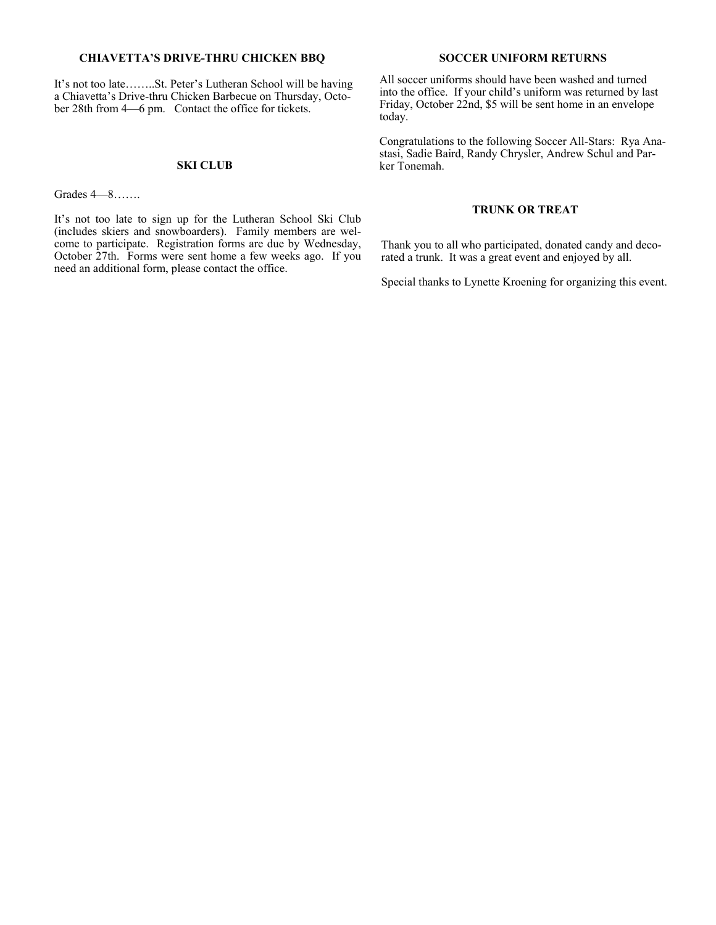#### **CHIAVETTA'S DRIVE-THRU CHICKEN BBQ**

It's not too late……..St. Peter's Lutheran School will be having a Chiavetta's Drive-thru Chicken Barbecue on Thursday, October 28th from 4—6 pm. Contact the office for tickets.

Grades 4—8…….

It's not too late to sign up for the Lutheran School Ski Club (includes skiers and snowboarders). Family members are welcome to participate. Registration forms are due by Wednesday, October 27th. Forms were sent home a few weeks ago. If you need an additional form, please contact the office.

#### **SOCCER UNIFORM RETURNS**

All soccer uniforms should have been washed and turned into the office. If your child's uniform was returned by last Friday, October 22nd, \$5 will be sent home in an envelope today.

Congratulations to the following Soccer All-Stars: Rya Anastasi, Sadie Baird, Randy Chrysler, Andrew Schul and Par-**SKI CLUB** ker Tonemah.

#### **TRUNK OR TREAT**

Thank you to all who participated, donated candy and decorated a trunk. It was a great event and enjoyed by all.

Special thanks to Lynette Kroening for organizing this event.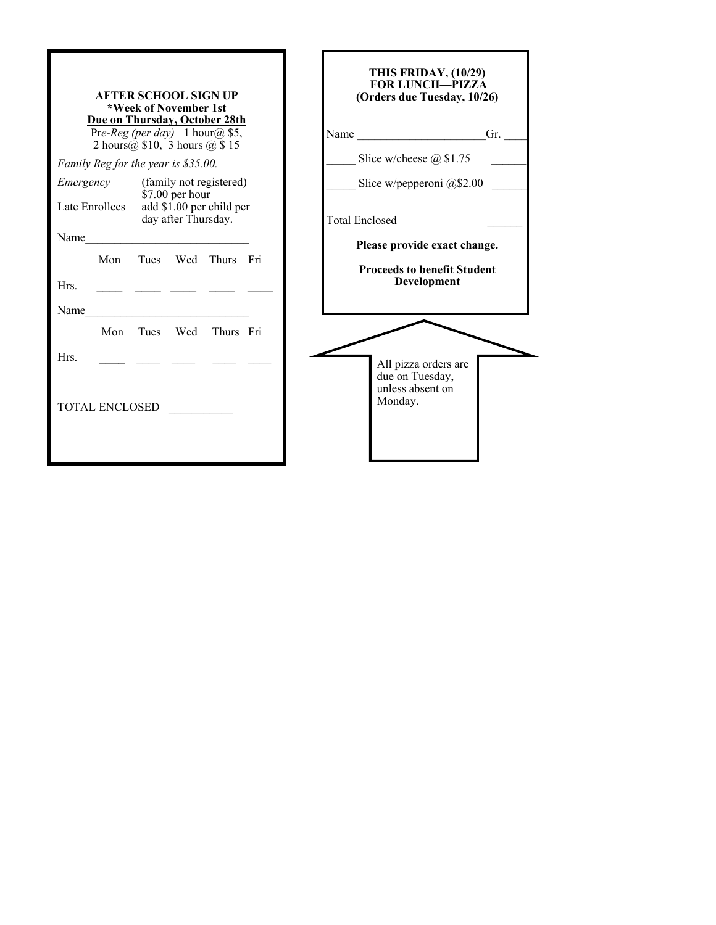|                             | <b>AFTER SCHOOL SIGN UP</b><br>*Week of November 1st<br>Due on Thursday, October 28th<br>Pre-Reg (per day) 1 hour(a) \$5,<br>2 hours $(a)$ \$10, 3 hours $(a)$ \$15 | THIS FRIDAY, (10/29)<br><b>FOR LUNCH-PIZZA</b><br>(Orders due Tuesday, 10/26)<br>Gr.<br>Name |  |  |
|-----------------------------|---------------------------------------------------------------------------------------------------------------------------------------------------------------------|----------------------------------------------------------------------------------------------|--|--|
|                             | Family Reg for the year is \$35.00.                                                                                                                                 | Slice w/cheese $@$1.75$                                                                      |  |  |
| Emergency<br>Late Enrollees | (family not registered)<br>\$7.00 per hour<br>add \$1.00 per child per                                                                                              | Slice w/pepperoni $@$2.00$                                                                   |  |  |
| Name                        | day after Thursday.                                                                                                                                                 | <b>Total Enclosed</b>                                                                        |  |  |
| Mon                         | Tues Wed Thurs Fri                                                                                                                                                  | Please provide exact change.                                                                 |  |  |
| Hrs.                        |                                                                                                                                                                     | <b>Proceeds to benefit Student</b><br>Development                                            |  |  |
| Name                        |                                                                                                                                                                     |                                                                                              |  |  |
| Mon                         | Wed<br>Thurs Fri<br>Tues                                                                                                                                            |                                                                                              |  |  |
| Hrs.                        |                                                                                                                                                                     | All pizza orders are<br>due on Tuesday,<br>unless absent on                                  |  |  |
| <b>TOTAL ENCLOSED</b>       |                                                                                                                                                                     | Monday.                                                                                      |  |  |
|                             |                                                                                                                                                                     |                                                                                              |  |  |